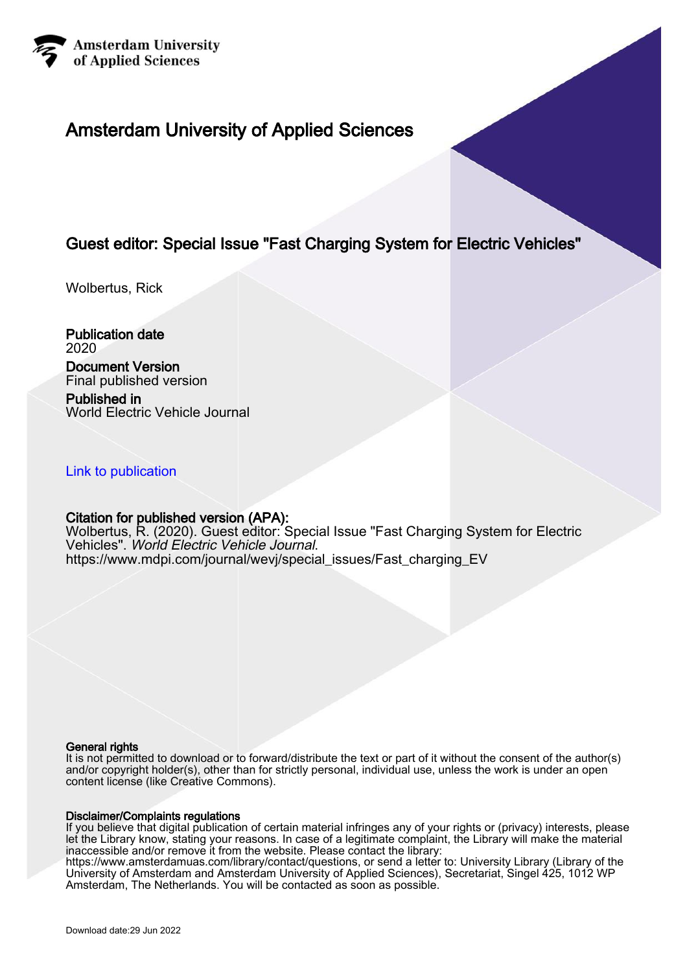

# Amsterdam University of Applied Sciences

## Guest editor: Special Issue "Fast Charging System for Electric Vehicles"

Wolbertus, Rick

Publication date 2020

## Document Version

Final published version

Published in World Electric Vehicle Journal

### [Link to publication](https://research.hva.nl/en/publications/e7d4a55d-4e10-4fe2-ac6b-bb7ace20bf2a)

### Citation for published version (APA):

Wolbertus, R. (2020). Guest editor: Special Issue "Fast Charging System for Electric Vehicles". World Electric Vehicle Journal. [https://www.mdpi.com/journal/wevj/special\\_issues/Fast\\_charging\\_EV](https://www.mdpi.com/journal/wevj/special_issues/Fast_charging_EV)

#### General rights

It is not permitted to download or to forward/distribute the text or part of it without the consent of the author(s) and/or copyright holder(s), other than for strictly personal, individual use, unless the work is under an open content license (like Creative Commons).

#### Disclaimer/Complaints regulations

If you believe that digital publication of certain material infringes any of your rights or (privacy) interests, please let the Library know, stating your reasons. In case of a legitimate complaint, the Library will make the material inaccessible and/or remove it from the website. Please contact the library:

https://www.amsterdamuas.com/library/contact/questions, or send a letter to: University Library (Library of the University of Amsterdam and Amsterdam University of Applied Sciences), Secretariat, Singel 425, 1012 WP Amsterdam, The Netherlands. You will be contacted as soon as possible.